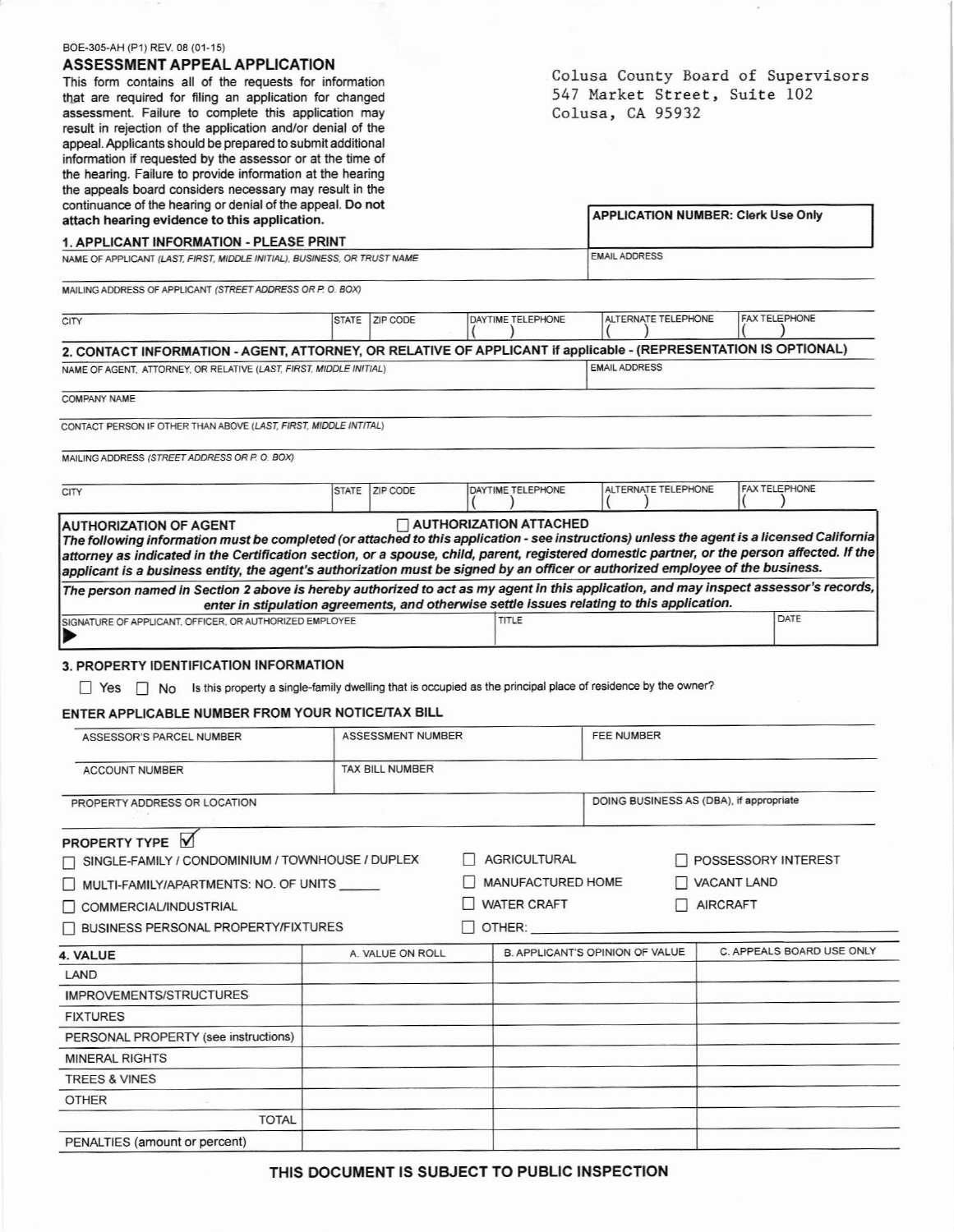| BOE-305-AH (P1) REV. 08 (01-15)                                                                                                                                                                                                                                                                                                                                                                                             |                                                                                            |                                    |                               |                                           |                 |                           |  |
|-----------------------------------------------------------------------------------------------------------------------------------------------------------------------------------------------------------------------------------------------------------------------------------------------------------------------------------------------------------------------------------------------------------------------------|--------------------------------------------------------------------------------------------|------------------------------------|-------------------------------|-------------------------------------------|-----------------|---------------------------|--|
| ASSESSMENT APPEAL APPLICATION                                                                                                                                                                                                                                                                                                                                                                                               |                                                                                            | Colusa County Board of Supervisors |                               |                                           |                 |                           |  |
| This form contains all of the requests for information                                                                                                                                                                                                                                                                                                                                                                      | 547 Market Street, Suite 102<br>Colusa, CA 95932                                           |                                    |                               |                                           |                 |                           |  |
| that are required for filing an application for changed<br>assessment. Failure to complete this application may                                                                                                                                                                                                                                                                                                             |                                                                                            |                                    |                               |                                           |                 |                           |  |
| result in rejection of the application and/or denial of the                                                                                                                                                                                                                                                                                                                                                                 |                                                                                            |                                    |                               |                                           |                 |                           |  |
| appeal. Applicants should be prepared to submit additional                                                                                                                                                                                                                                                                                                                                                                  |                                                                                            |                                    |                               |                                           |                 |                           |  |
| information if requested by the assessor or at the time of<br>the hearing. Failure to provide information at the hearing                                                                                                                                                                                                                                                                                                    |                                                                                            |                                    |                               |                                           |                 |                           |  |
| the appeals board considers necessary may result in the                                                                                                                                                                                                                                                                                                                                                                     |                                                                                            |                                    |                               |                                           |                 |                           |  |
| continuance of the hearing or denial of the appeal. Do not                                                                                                                                                                                                                                                                                                                                                                  |                                                                                            |                                    |                               |                                           |                 |                           |  |
| attach hearing evidence to this application.                                                                                                                                                                                                                                                                                                                                                                                |                                                                                            |                                    |                               | <b>APPLICATION NUMBER: Clerk Use Only</b> |                 |                           |  |
| <b>1. APPLICANT INFORMATION - PLEASE PRINT</b><br>NAME OF APPLICANT (LAST, FIRST, MIDDLE INITIAL), BUSINESS, OR TRUST NAME                                                                                                                                                                                                                                                                                                  | <b>EMAIL ADDRESS</b>                                                                       |                                    |                               |                                           |                 |                           |  |
| MAILING ADDRESS OF APPLICANT (STREET ADDRESS OR P. O. BOX)                                                                                                                                                                                                                                                                                                                                                                  |                                                                                            |                                    |                               |                                           |                 |                           |  |
| <b>CITY</b>                                                                                                                                                                                                                                                                                                                                                                                                                 | STATE   ZIP CODE                                                                           |                                    | DAYTIME TELEPHONE             | ALTERNATE TELEPHONE                       |                 | <b>FAX TELEPHONE</b>      |  |
| 2. CONTACT INFORMATION - AGENT, ATTORNEY, OR RELATIVE OF APPLICANT if applicable - (REPRESENTATION IS OPTIONAL)                                                                                                                                                                                                                                                                                                             |                                                                                            |                                    |                               |                                           |                 |                           |  |
| NAME OF AGENT, ATTORNEY, OR RELATIVE (LAST, FIRST, MIDDLE INITIAL)                                                                                                                                                                                                                                                                                                                                                          |                                                                                            |                                    |                               | <b>EMAIL ADDRESS</b>                      |                 |                           |  |
|                                                                                                                                                                                                                                                                                                                                                                                                                             |                                                                                            |                                    |                               |                                           |                 |                           |  |
| <b>COMPANY NAME</b>                                                                                                                                                                                                                                                                                                                                                                                                         |                                                                                            |                                    |                               |                                           |                 |                           |  |
| CONTACT PERSON IF OTHER THAN ABOVE (LAST, FIRST, MIDDLE INTITAL)                                                                                                                                                                                                                                                                                                                                                            |                                                                                            |                                    |                               |                                           |                 |                           |  |
| MAILING ADDRESS (STREET ADDRESS OR P. O. BOX)                                                                                                                                                                                                                                                                                                                                                                               |                                                                                            |                                    |                               |                                           |                 |                           |  |
| <b>CITY</b>                                                                                                                                                                                                                                                                                                                                                                                                                 | STATE   ZIP CODE                                                                           |                                    | DAYTIME TELEPHONE             | ALTERNATE TELEPHONE                       |                 | <b>FAX TELEPHONE</b>      |  |
| <b>AUTHORIZATION OF AGENT</b>                                                                                                                                                                                                                                                                                                                                                                                               |                                                                                            |                                    | $\Box$ AUTHORIZATION ATTACHED |                                           |                 |                           |  |
| The following information must be completed (or attached to this application - see instructions) unless the agent is a licensed California<br>attorney as indicated in the Certification section, or a spouse, child, parent, registered domestic partner, or the person affected. If the<br>applicant is a business entity, the agent's authorization must be signed by an officer or authorized employee of the business. |                                                                                            |                                    |                               |                                           |                 |                           |  |
| The person named in Section 2 above is hereby authorized to act as my agent in this application, and may inspect assessor's records,                                                                                                                                                                                                                                                                                        | enter in stipulation agreements, and otherwise settle issues relating to this application. |                                    |                               |                                           |                 |                           |  |
| SIGNATURE OF APPLICANT, OFFICER, OR AUTHORIZED EMPLOYEE                                                                                                                                                                                                                                                                                                                                                                     |                                                                                            |                                    | TITLE                         |                                           |                 | DATE                      |  |
|                                                                                                                                                                                                                                                                                                                                                                                                                             |                                                                                            |                                    |                               |                                           |                 |                           |  |
| 3. PROPERTY IDENTIFICATION INFORMATION                                                                                                                                                                                                                                                                                                                                                                                      |                                                                                            |                                    |                               |                                           |                 |                           |  |
| □ Yes □ No Is this property a single-family dwelling that is occupied as the principal place of residence by the owner?                                                                                                                                                                                                                                                                                                     |                                                                                            |                                    |                               |                                           |                 |                           |  |
| ENTER APPLICABLE NUMBER FROM YOUR NOTICE/TAX BILL                                                                                                                                                                                                                                                                                                                                                                           |                                                                                            |                                    |                               |                                           |                 |                           |  |
| ASSESSOR'S PARCEL NUMBER                                                                                                                                                                                                                                                                                                                                                                                                    | ASSESSMENT NUMBER                                                                          |                                    |                               | <b>FEE NUMBER</b>                         |                 |                           |  |
| <b>ACCOUNT NUMBER</b>                                                                                                                                                                                                                                                                                                                                                                                                       | <b>TAX BILL NUMBER</b>                                                                     |                                    |                               |                                           |                 |                           |  |
| PROPERTY ADDRESS OR LOCATION                                                                                                                                                                                                                                                                                                                                                                                                |                                                                                            |                                    |                               | DOING BUSINESS AS (DBA), if appropriate   |                 |                           |  |
| PROPERTY TYPE V                                                                                                                                                                                                                                                                                                                                                                                                             |                                                                                            |                                    |                               |                                           |                 |                           |  |
| SINGLE-FAMILY / CONDOMINIUM / TOWNHOUSE / DUPLEX                                                                                                                                                                                                                                                                                                                                                                            |                                                                                            |                                    | AGRICULTURAL                  |                                           |                 | POSSESSORY INTEREST       |  |
| MULTI-FAMILY/APARTMENTS: NO. OF UNITS                                                                                                                                                                                                                                                                                                                                                                                       |                                                                                            |                                    | MANUFACTURED HOME             |                                           | VACANT LAND     |                           |  |
| COMMERCIAL/INDUSTRIAL                                                                                                                                                                                                                                                                                                                                                                                                       |                                                                                            |                                    | WATER CRAFT                   | $\perp$                                   | <b>AIRCRAFT</b> |                           |  |
| BUSINESS PERSONAL PROPERTY/FIXTURES                                                                                                                                                                                                                                                                                                                                                                                         |                                                                                            |                                    | $\Box$ OTHER:                 |                                           |                 |                           |  |
| 4. VALUE                                                                                                                                                                                                                                                                                                                                                                                                                    | A. VALUE ON ROLL                                                                           |                                    |                               | B. APPLICANT'S OPINION OF VALUE           |                 | C. APPEALS BOARD USE ONLY |  |
| LAND                                                                                                                                                                                                                                                                                                                                                                                                                        |                                                                                            |                                    |                               |                                           |                 |                           |  |
| <b>IMPROVEMENTS/STRUCTURES</b>                                                                                                                                                                                                                                                                                                                                                                                              |                                                                                            |                                    |                               |                                           |                 |                           |  |
| <b>FIXTURES</b>                                                                                                                                                                                                                                                                                                                                                                                                             |                                                                                            |                                    |                               |                                           |                 |                           |  |
| PERSONAL PROPERTY (see instructions)                                                                                                                                                                                                                                                                                                                                                                                        |                                                                                            |                                    |                               |                                           |                 |                           |  |
| <b>MINERAL RIGHTS</b>                                                                                                                                                                                                                                                                                                                                                                                                       |                                                                                            |                                    |                               |                                           |                 |                           |  |
| <b>TREES &amp; VINES</b>                                                                                                                                                                                                                                                                                                                                                                                                    |                                                                                            |                                    |                               |                                           |                 |                           |  |
| <b>OTHER</b>                                                                                                                                                                                                                                                                                                                                                                                                                |                                                                                            |                                    |                               |                                           |                 |                           |  |
| <b>TOTAL</b>                                                                                                                                                                                                                                                                                                                                                                                                                |                                                                                            |                                    |                               |                                           |                 |                           |  |
| PENALTIES (amount or percent)                                                                                                                                                                                                                                                                                                                                                                                               |                                                                                            |                                    |                               |                                           |                 |                           |  |
|                                                                                                                                                                                                                                                                                                                                                                                                                             |                                                                                            |                                    |                               |                                           |                 |                           |  |

 $\omega$ 

THIS DOCUMENT IS SUBJECT TO PUBLIC INSPECTION